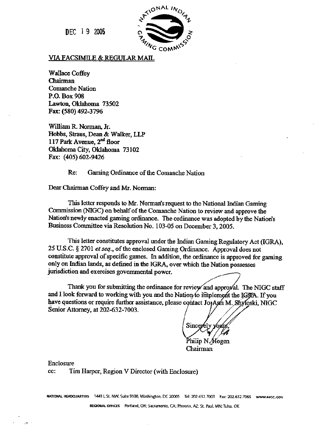DEC **19 2005** 



#### **VIA FACSIMILE & REGULAR MAIL**

**Wallace Coffey**  Chairman **Comanche Nation P.O. Box 908 Lawton, Oklahama 73502 Fax: (580) 492-3796** 

**William R Noman, Jr. Hobbs, Straus, Dean & Walker, LLP** 117 Park Avenue,  $2^{nd}$  floor **Oklahoma City, Oklahoma 73 102 Fax: (405) 602-9426** 

**Re: Gaming Ordinance of the Comanche Nation** 

**Dear Chairman Coffey and Mr. Norman:** 

**This letter responds to Mr. Nomads request to the National** Indian **Gaming Commission** (NGC) **on behalf of the Comanche Nation to review and approve the Natiods newly enacted gaming ordinance.** The **ordinance was adopted by** the **Natiods Business Committee via Resolution No. 103-05 on December 3,2005.** 

This letter constitutes approval under the Indian Gaming Regulatory Act (IGRA), **25 U.S.C. 4 2701 et seq., of the enclosed** Gaming Ordinance. **Approval does not**  constitute approval of specific games. In addition, the ordinance is approved for gaming **only on Indian lands, as dehed in the IGRA, over which the Nation possesses jurisdiction and exercises governmental power.** 

Thank you for submitting the ordinance for review and approval. The NIGC staff have questions or require further assistance, please contact Jo<sub>t</sub>Ann M. Shyloski, NIGC **Senior Attorney, at** 202-632-7003. **and I look** forward **to working** with **you and the** 

Sincerely

Philip N./Hogen **Chairman** 

**Enclosure** 

**cc: Tim** Harper, **Region V Director (with Enclosure)** 

**MATIONAL HEADQUARTERS 1441 L St. NW, Suite 9100, Washington, DC 2000S Tel: 202.632.7003 Fax: 202.632.7066 www.nigc.cov** 

**REGK~~AL ORICES hRla4. OR: Sacnmento, CA; Phoenix. AZ: St. Paul, MN; Tuls, OK**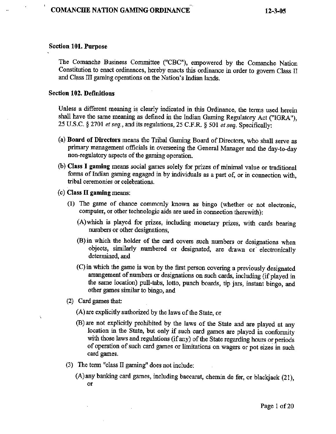#### **Section 101. Purpose** .

The **Comanche Business Committee ("CBC"), empowered by the Comanche Nation Constitution to enact ordinances, hereby enacts this ordinance in order to govern** Class **IT**  and **Class** EI **gaming operations on the** Nation's **Indian** lands.

#### **Section 102. Definitions**

Unless **a** different meaning **is clearly** indicated **in this Ordinance, the terms used herein**  shall **have the same meaning as defined** in **the** Indian **Gaming** Regulatory **Act ("IORA"), <sup>25</sup>U.S.C.** § **2701 etseq., and its regulations, 25 C.F.R. 4 501** *et* **seq. Specifically:** 

- **(a) Board of Directors means the** Tribal **Gaming Board of Directors, who** shall **serve as primary management officials in overseeing the** General Manager **and the day-to-day non-regulatory aspects of the gaming** operation.
- **(b) CIass I gaming means social games solely for** prizes **of minimal value or traditional forms of Indian gaming engaged** in **by individuals as a part of, or in connection with,**  tribal **ceremonies or celebrations.**
- *(c)* **Class I1 gaming means:** 
	- **(1) The game of chance** comrnody **known as bingo (whether** *or* **not electronic,**  computer, or other technologic aids are used in connection therewith):
		- **(A)which is played for prizes, including monetary prizes, with cards bearing nmbers or other designations,**
		- **@)in** which **the holder of the card covers such numbers or designations when objects, similarly numbered or designated, are** drawn **or. electronically determined, and**
		- **(C) in which the game is won by the first person covering a previously designated arrangement of numbers or designations on such cards, including** (if **phyed in**  the **same location) pull-tabs, lotto, punch boards; tip jars, instant bingo, and other games similar to bingo, and**
	- **(2) Czurf games** *that:*

À

- **(A)are explicitly authorized by the laws of the State, or**
- (B) **are** not **explicitly prohibited by the laws** of **the State** and **are** played **at any**  location **in the State, but only if such card games are played in conformity with those laws and regulations (if any)** of **the State regarding hours or periods of operation of such** card **games** or limitations **on wagers** or **pot** sizes **in such**  card **games.**
- **(3) The** term **"class I1** gaming" **does not include:** 
	- **(A)any batlking card games, including baccarat, chemin de fer, or blackjack (21), or**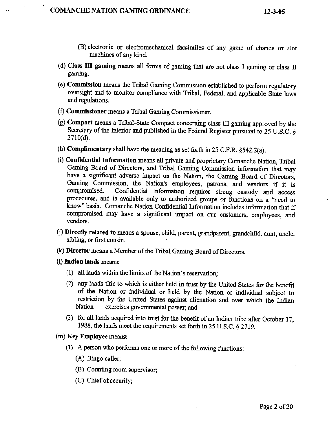**1** 

- **(B)** electronic **or electromechanical facsimiles** of **any game of chance or** slot **machines of my kind.**
- **(d) CIass III gaming means all forms of gaming that are not class** I gaming **or class II gaming.**
- *(e)* **Commission means the** Tribd **Gaming Commission established** to **pedom regulatory oversight and to monitor compliance with Tribal,** Federal, and **applicable State laws and** regulations.
- **(f) Commissioner** means **a Tribal** Gaming Commissioner.
- **(g) Compact mems a Tribal-State** Compact **concerning class** III **gaming approved by the Secretary of the Interior** and **published in the Federal Register pursuant to 25 U.S.C.** *5*  271 **0(d).**
- (h) **Complimentary shall** have **the meaning as set forth in 25 C.F.R. §542.2(a).**
- (i) **Confidential Information** means all private and proprietary Comanche Nation, Tribal **Gaming** Board **of Directors, and** Tribal Gaming Commission information that **may have a significant adverse impact on the Nation, tbe Gaming Board of Directors,**  Gaming Commission, the Nation's employees, patrons, and vendors if it is compromised. Confidential Information requires strong custody and access procedures, and is available only to authorized groups or functions on a "need to know" basis. Comanche Nation Confidential Information includes information that if **compromised may have a significant impact on our customers, employees, and vendors.**
- Cj) **DirectIy related to means a spouse, child, parent, grandparent, grandchild, aunt, uncle,**  sibling, **or fist** cousin.
- (k) **Director** means **a Member of the** Tribal **Gaming Board of Directors.**
- **(1) Indian lands means:** 
	- **(I) all lands within the limits of the Nation's reservation;**
	- **(2) any** Iands **title to which is either held in** trust **by the United States for the** benefit **of the Nation or** individual or **held by the Nation or individual subject to restriction by the United States against alienation** and over **which the Indian Nation exercises** governmental **power;** and
	- (3) for all lands acquired into trust for the benefit of an Indian tribe after October 17, **1988, the lands meet the requirements set** forth **in 25 U.S.C. 2719.** '
- **(m) Key Employee mems:** 
	- **(1) A person who perfom one or more of the following functions:** 
		- **(A)** Bingo **caller;**
		- (l3) Counting **room supervisor;**
		- **(C) Chief of security;**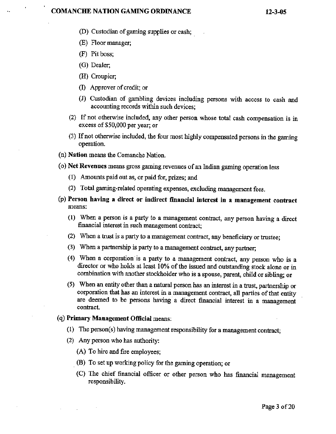- @) Custodian **of** gaming **supplies** or **cash;** .
- (E) Floor **manager;**
- **(F) Pit** boss;

**I** 

- *(G)* **Dealer;**
- **(H) Croupier;**
- **(I) Approver of** credit; **or**
- **(J) Custodian of** gambling **devices including persons with access to cash and**  accounting records **within such devices;**
- **(2)** If not **otherwise included, any** other **person whose** total **cash compensation is in excess** of **\$50,000 per year; or**
- **(3) If not otherwise** included, **the four most highly compensated persons in the gaming operation.**
- **(n) Nation means the Comanche Nation.**
- **(0) Net Revenues means gross gaming revenues of an Indian gaming operation less** 
	- (I) Amounts **paid out as,** or **paid** for, **prizes; and**
	- **(2) Total gaming-related operating expenses, excluding management fees.**
- **(p) Person having a direct or indirect financial interest in a management contract rnems:** 
	- **(1) When a person is a party to a management contract, any person having a direct financial interest in** such **management contract;**
	- **(2)** When **a trust is a party to a** maflagement **contract, my beneficiary or trustee;**
	- **(3)** When **a partnership is party to a management contract, any partner;**
	- **(4) When a corporation'is a party to a management contract, any person who is a director or who holds at least 10% of the issued and outstanding stock alone or in**  combination with another stockholder who is a spouse, parent, child or sibling; or
	- **(5) When an** entity other than **a natural person has an interest in a trust, partnership or corporation that has an interest in a management contract,** all **parties of** *that* **entity** , **are deemed to be** persons **having' a** direct **financial interest in a management contract.**

#### **(q) Primary Management Official means:**

- (I) **The person(s) having management responsibility for a management contract;**
- **(2) Any person who has authoriw** 
	- **(A) To hire and fire employees;**
	- **(B) To set up working policy for the gaming operation;** *or*
	- **(C)** The chief financial **officer** or **other** person who **has bcial management**  responsibility.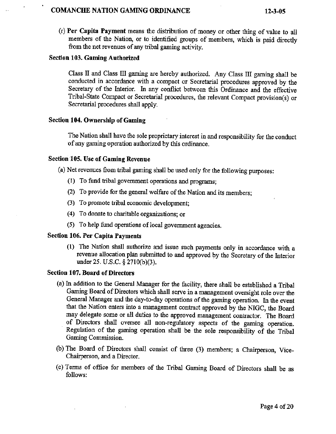## , - **COMANCECE NATION GAMING ORDINANCE 12-3-05**

**(r) Per Capita Payment means the distribution of money or other** thing **of value to** all members **of the Nation, or to identified groups of** memkrs, **which is paid directly from the net revenues of any** tribal **gaming** activity.

### **Section 103. Gaming Authorized**

**Class I1 and** Class **111 gaming are hereby** authorized. **Any Class** 111 **gaming sha.11 be**  conducted **in accordance with a compact or Secretasid procedures approved by the Secretary of the Interior. In any conflict** between **this Ordinance** and **the effective Tribal-State** Compact **or Secretarial procedures,** the **relevant Compact provision{s) or Secretarial** procedures **shall apply.** 

### **Section 104. Ownership of Gaming**

The **Nation shall have** the sole **proprietary interest in** and **responsibility** for **the conduct of any gaming operation authorized** by **this** ordinance.

### **Section 105. Use of Gaming Revenue**

**(a)** Net **revenues** from **tribal gaming** shall **be used** only for **the following purposes:** 

- (1) **To** fund **tribal government** operations **and programs;**
- (2) **To** provide **for** the **general welfare of the Nation and its members;**
- (3) **To promote tribal economic development;**
- **(4) To donate to charitable** organizations; **or**
- **(5) To help fund operations of local government agencies.**

## **Section 106. Per Capita Payments**

**(1) The** Nation **shall authorize and issue such payments only in accordance with a revenue allocation plan submitted to and approved by the Secretary of** the **Interior under 25. U.S.C. 9 271 0(b)(3).** 

## **Section 107. Board of Directors**

- **(a) In addition to the General Manager for fie hility, there** shall **be established** a **Tribal Gaming** Board of **Directors which shall serve in a management oversight role over the General** Manager **and** the **day-to-day operations** of **the** gaming operation **In the event that the Nation enters into a management** contract **approved by** the **NIGC, the Board**  may **delegate some or all** duties **to the approved management** contractor. The Board **of Directors** shall **oversee all non-regulatory aspects of the** gaming **operation. Regulation** of **the gaming operation** shall **be** the **sole responsibility of the Tribal Gaming Commission.**
- (b) The Board of Directors shall consist of three (3) members; a Chairperson, Vice-**Chairperson,** and **a Director.**
- **(c) Terms of office for members of #.he Tribal Gaming Board of Directors** shall **be as follows:**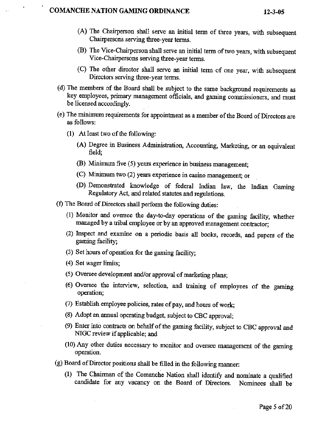#### **COMANCHE NATION** *GAMING* **ORDINANCE 12-3-05**

- **(A)** The **Chairperson** shall serve **an** initial term of **three yeas, with subsequent Chairpersons serving three-year terms.**
- (B) The Vice-Chairperson shall serve an initial term of two years, with subsequent **Vice-Chairpersons serving three-year** terms.
- **(C) The other director shall serve an initial** term **of one** year, with **subsequent Directors serving three-year** terms.
- **(d)** The **members** of **the** Board **shall be, subject to the same background requirements as key employees, primary** management **officials,** and **gaming commissioners,** and must **be licensed accordingly.**
- **(e)** The **minimum requirements for appointment as** a member **of the** Board of **Directors are as follows:** 
	- **(1) At Ieast** two **of the following:** 
		- **(A)** Degree in **Business Administration, Accounting, Marketing, or an equivalent field;**
		- **(B)** Minimum **five (5) years experience in** business management;
		- *(C)* Minimum **two (2) years experience in casino management; or**
		- (D) **Demonstrated howledge of federal Indim law, the Indian** Gaming **Regulatory Act, and related statutes and regulations.**
- (f) The Board of Directors shall perform the following duties:
	- **(I) Monitor** and **oversee the day-to-day operations of the gaming facility, whether managed by a tribal employee** *or* **by an approved management** contractor;
	- **(2) Inspect and examine on a periodic basis** all **books, records, and papers of** the gaming **facility;**
	- **(3) Set** burs **of operation for the gaming facility;**
	- **(4) Set** wager **limits;**
	- **(5) Oversee development and/or approval of marketing plans;**
	- **(6) Oversee the interview, selection, and training of employees of the** gaming **opemtion;**
	- (7) **Establish employee policies, rates of pay, and** hours **of work;**
	- **(8) Adopt an annual operating budget, subject to** CBC **approval;**
	- **(9)** Enter in6 **contracts on** behalf **of the ping facility, subject** to **CBC approval** and **NTGC** review if **applicable; d**
	- **(10) Any** other **duties necessary to monitor and oversee management of the** gaming **operation.**
- **(g) Board of Director positions** shall **be filled in the following** manner:
	- (1) The Chairman of the Comanche Nation shall identify and nominate a qualified **candidate** for **any** vacancy **on the Board of Directors. Nominees** shall **be-**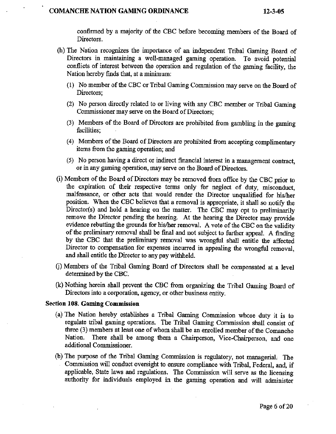#### **COMANCHE NATION GAMING ORDINANCE**

**confirmed by** a **majority of the CBC before** becomhg members **of the Board of**  Directors.

- (h) **Nation recognizes** the **importance of an independent** Tribal **Gaming Board** of Directors in maintaining a well-managed gaming operation. **conflicts of interest between the operation and regulation of** the **gaming facility, the Nation hereby finds that,** at **a minimum:** 
	- (I) **No** member **of the CBC or Tribal** Gaming **Commission** may serve on **the Board** of **Directors;**
	- (2) **No person directly related to or living with** any **CBC member or Tribal Gaming**  Commissioner **may serve on the Board** of **Directors;**
	- **(3) Members of the Board of Directors are prohibited from gambling in the gaming facilities;**
	- **(4) Members** of **the Board of Directors are prohibited** fiom **accepting complimentary items from** the **gaming operation;** arid
	- **(5) No person having a direct or indirect financial interest in a management contract, or** in any **gaming operation, may serve on the** Board **of Directors.**
- **(i) Members** of **the Board of Directors may be removed from ofice by the** CBC **prior to the expiration of their respective** terms **only for neglect of duty, misconduct, malfeasance, or other acts that would render the Director unqualified for hisher position. When the** CBC **believes** that **a removal is appropriate, it shall so notify the Director(s) and hold a hearing on the matter. The CBC may opt to preliminarily remove the Director pending the** hearing. **At** the **hearing the** Director **may provide evidence rebutting the** grounds **for** hisher **removal. A vote of the CBC on the validity of the preluninary** removal **shall be** final **and not subject to further appeal. A** finding **by the CBC that the preliminary removal was wrongful** shall **entitle the affected Director to compensation for expenses incurred in appealing the wrongful** removal, **and shall** entitle **the** Director **to any pay withheld.**
- *Cj)* **Members of the Tribal Gaming Board of Directors shall be** compensated **at a level**  determined **by the CBC.**
- (k) **Nothing herein shall prevent the CBC from organizing the Tribal Gaming Board of Directors** into **a corporation, agency, or** other **business** entity.

#### **Section 108. Gaming Commission**

- **(a) The Nation hereby establishes a Tribal Gaming Com&ssion whose duty it is to regulate** tribal **gaming operations. The Tribal Gaming Commission shall consist of three (3)** members **at least one of** whom shall **be an enrolled member of the Comanche Nation. There shall** be **among them a Charperson, Vice-Chairperson,** and **one additional Commissioner.**
- @) **The purpose of** the Tribal **Gaming Commission is regulatory, not managerial; The Commission** will **conduct oversight to ensure compliance with Tribal, Federal, and, if applicable,** State **laws and regulations. The Commission** will **serve as the licensing authority for** individuals **employed in the gaming operation and** will **administer**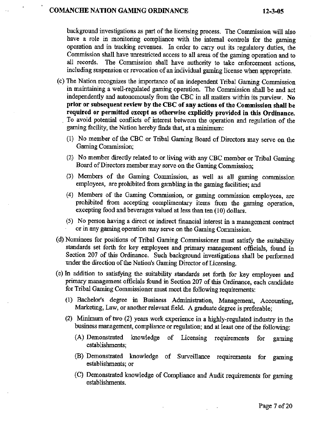#### **COMANCHE NATION GAMLNG ORDINANCE 12-3-05**

**bitckground** investigations **as** part **of** the **licensing process. The** Commission **will also have a role in monitoring compliance** with **the internal controls for** the **gaming operation** and **in tracking revenues.** In **order to** carry **out** its **regulatory** duties, **the Commission shall have unrestricted access to all areas of the gaming operation and to**  all **records. The Commission shall have authority to take enforcement actions, including suspension or revocation of an individual** gaming **license when appropriate.** 

- $(c)$  The Nation recognizes the importance of an independent Tribal Gaming Commission **in maintaining a** well-regulated **gaming, operation. The Commission shall be and act independently and autonomously** fiom **the** CBC in all **matters** within its **purview. No prior or subsequent review by the CBC of any actions of the Commission shall be required or permitted except as otherwise explicitly provided in this Ordinance.**  . **To avoid** potential **conflicts** of **interest** between **the operation** and **regulation of the gaming facility, the Nation hereby** finds that, **at a minimum:** 
	- **(I) No member of the CBC or Tribal Gaming Board of Directors may serve on the**  Gaming Commission;
	- **(2) No member directly related to or** living **with any CBC member or Tribal Gaming**  Board of **Directors** member **may serve on the Gaming Commission;**
	- **(3) Members of the** Gaming **Commission, as well as all gaming comission employees, are** prohibited **5-om gambling in the gaming facilities; and**
	- (4) Members of the Gaming Commission, or gaming commission employees, are **prohibited from accepting complimentary items from the gaming operation, excepting food and beverages valued at less than ten (10) dollars.**
	- **(5) No person .having a** direct **or indirect** financial **interest in a** management **contract or in** any **gaming operation** may **serve on the Gaming Commission.**
- **(d) Nominees for positions of Tribal** Gaming Cornmissioner **must satisfy the suitability standards set forth for key employees and primary management officials, found in Section 207 of this Ordinance. Such background investigations shall be performed under the direction of the Nation's** Gaming **Director of Licensing.**
- **(e) In addition to** satisfying **the suitability standards set forth for key employees and primary management officials found in Section 207 of this Ordinance, each candidate for Tribal Gaming Commissioner must** meet **the following requirements:** 
	- (1) **Bachelor's degree in Business Administration, Management, Accounting, Marketing, Law,** *or* another **relevant field. A graduate degree is preferable;**
	- **2)** Minimum **of two** (2) **years work experience in a highly-regulated** industry **in the business management, compliance or regulation; and at least one of the following:** 
		- **(A) Demonstrated knowledge of Licensing requirements** for **gaming establishments;**
		- **(B) 'Demonstrated knowledge of Surveillance requirements for gaming establishments; or**
		- **(C) Demonstrated knowledge of Compliance and Audit requirements for gaming estabIishrnents.**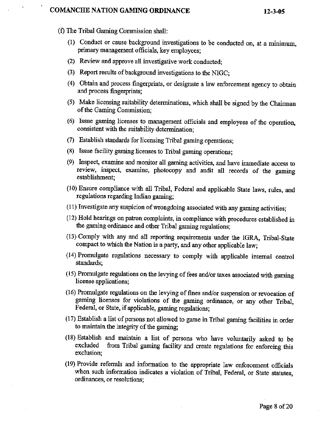## **COMANCHE NATION GAMING ORDINANCE**

- **(f)** The **Tribd Gaming Commission** shall:
	- (1) **Conduct or cause background investigations to be conducted on,** at **a** minimum, **primary management officials, key employees;**
	- **(2) Review** and **approve all** investigative **work conducted;**
	- **(3) Report results of background** investigations **to** the **NIGC;**
	- **(4) Obtain** and **process fingerprints, or** degignate **a** law **enforcement agency** to **obtain and process fingerprints;**
	- **(5) Make licensing suitability** determinations, **which shall be** signed **by the** Chairman **of the Garning Commission;**
	- *(6)* **Issue** gaming licenses to management **officials and employees of** the **operation, consistent** with **the** suitability **determination;**
	- **(7) Establish standards for licensing** Tribd **gaming operations;**
	- **(8) Issue facility** gaming **licenses to Tribal** gaming **operations;**
	- **(9) Inspect, examine** and **monitor all gaming activities, and have immediate access to review, inipect, examine, photocopy and audit all** records **of the gaming**  establishment;
	- **(10) Ensure compliance** with **all** Tribal, **Federal and applicable State laws, rules, and regulations regarding Indim** gaming;
	- **(I** I) **Investigate any suspicion of wrongdoing associated with any gaming activities;**
	- (1 2) **Hold** hearings **on patron complaints, in compliance with procedures established** in **the gaming ordinance and other** Tribal **gaming regulations;**
	- **(13) CompIy** with **any** and **dl reporting** requirements **under** the IGRA, **Tribal-State compact to which the Nation is** a **party, and any other applicable law;**
	- **(14) Promulgate regulations necessary to comply** with **applicable internal control standards;**
	- **(15)** fromdgate **regulations on the levying of fees and/or taxes associated with gaming license applications;**
	- (1 **6) Promulgate regulations on the levying of fines and/or suspension or revocation of gaming licenses** for **violations of the** gaming **ordinance, or any other Tribd,**  Federal, **or State, if applicable, gaming regulations;**
	- **(1 7) Establish a list of persons not allowed to game in Tribal gaming fmiLities in order to** maintain **the integrity** of **the** gaming;
	- **(18)** Establish **and** maintain **a list of persons who** have **voluntarily asked to be excluded fiom** Tribal gaming **facility and** create **regulations for enforcing this exclusion;**
	- **(19) Provide referrals and information to the appropriate** Jaw **edorcement officials**  when **such information indicates a violation of Tribd,** Federal, or State **statutes,**  ordinances, or **resolutions;** '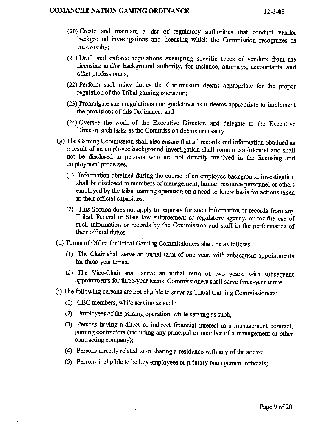#### **COMANCHE NATION GAMING ORDINANCE 12-3-05**

**I** 

- (20) **Create** and **maintain a fist of regulatory authorities that conduct vendor background investigations and** licensing **which the Commission recognizes as**  trustworthy;
- **(21) Draft and edorce regulations exempting specific types of vendors from the**  licensing and/or background authority, for instance, attorneys, accountants, and **other professionals;**
- (22) **Perfom such other duties the Commission deems appropriate for the proper regulation of the** Tribal **gaming operation;**
- (23) **Promulgate such** regulations **and guidelines as it deems appropriate to implement the provisions of** this Ordinance; and
- (24) **Oversee the work** of **the Executive Director, and delegate to the Executive Director such tasks as the Commission deems necessary.**
- (g) The Gaming Commission shall also ensure that all records and information obtained as **a** result **of an employee background investigation** shall **remain coddenial and shall**  not **be disclosed to persons who are not directly invoIved** in **the licensing and employment processes.** 
	- (I) **Information obtained during the course of an empIoyee background investigation**  shall **be disclosed** to **members of management,** human **resource personnel** or **others employed by the tribal gaming operation on a need-to-know basis for actions taken in their official capacities.**
	- (2) **This Section does not apply to requests for such information or records from any Tribal,** Fedd **or State law efoorcement or regulatory agency, or for** the **use of such** information **or records by the Commission and staff in the performance of their official duties.**
- (h) **Terms of Office for Tribal Gaming Commissioners shall be as** follows:
	- (I) **The Chair** shall **serve an** initial **term.of one** yew, **with subsequent appointments for three-year terms.**
	- **(2) The** VicgChair **shall serve an initial tern of two years,** with **subsequent appintmetlts for three-year tern. Commissioners shall serve three-year** terms.
- (i) **The following persons are not eligible to serve as** Tribal **Gaming Commissioners:** 
	- (I) **CBC members, while serving as such;**
	- **(2) Employees of the gaming operation, while serving as such;**
	- **(3) Persons having a direct or indirect financial interest in a management contract, gaming contractors (including any principal or member** of **a management or other contracting company);**
	- **(4) Persons** directly **related to or sharing** a **residence with any of the above;**
	- **(5) Persons ineligible to be key** employees **or primnary management officials;**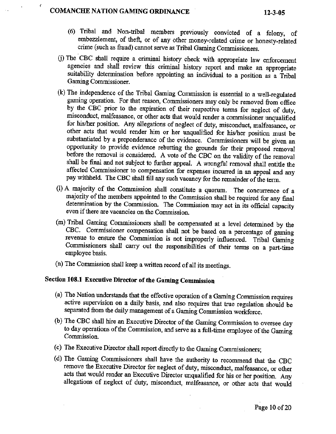# **COMANCHE NATION GAMING ORDINANCE** 12-3-05

**1'** 

- *(6)* **Tribal and** Non-tribal **members previously convicted of a felony, of embezzlement, of theft, or of any other money-related crime or honesty-related crime (such as** fraud) cannot **serve as Tribal Gaming Commissioners.**
- (j) The ' **CBC shall require a criminal** history **check with appropriate law enforcement agencies and** shall **review this** criminal **history report.** and **make m appropriate suitability determination before appointing an individual to a position as a Tribal Gaming Commissioner.**
- **(k)** The independence **of the Tribal Gaming Commission is essential to a well-regdated**  gaming operation. For that reason, Commissioners may only be removed from office **by the CBC prior to the expiration** of **their respective terms for neglect of duty, misconduct, mdfeasmce, or other acts that would render a commissioner unqualified for hisher position. Any allegations of neglect of** duty, **misconduct, malfeasance, or other acts** that **would render him or** her **unqualified for** hidher **position must be substantiated by a preponderance of the evidence. Commissioners will** be given **an opportunity** to **provide evidence** rebutting **the grounds for** their **proposed removal before the removal is considered. A vote of the** CBC **on** the validity **of** the **removal**  shall be final and not subject to further appeal. A wrongful removal shall entitle the **affected Commissioner to compensation for expenses incurred** in **an appeal and any pay withheld** The **CBC** shall fill **my** such **vacancy for the remainder of the term.**
- (1) **A majority of the Commission shall constitute a quorum. The concurrence of s majority of the members appointed** to **the Commission sball be required for any** final **determination by the Commission. The Commission may act in its official capacity even** if **there are vacancies on the Commission.**
- **(m) TribaI Gaming Commissioners shall be compensated at a level determined by the CBC.** Commissioner **compensation shall not be based on a percentage of gaming**  revenue to ensure the Commission is not improperly influenced. Tribal Gaming **Commissioners** shall **carry out the responsibilities of their terms on a part-time employee** basis.
- **('n) The Commission shall keep a written record of all its meetings.**

# **Section 108.1 Executive Director of the Gaming Commission**

- (a) The Nation understands that the effective operation of a Gaming Commission requires **active supervision on a daily basis, and also requires** that true **regulation should be separated from the daily management** of **a** Gaming **Commission workforce.**
- (b) The **CBC shall hire an Executive Director of the Gaming Commission to oversee day to day operations of the Commission, and serve as a full-time employee of the Gaming Commission.**
- **(c) The Executive Director shall report directly to the Gaming Commissioners;**
- (d) **The Gaming Commissioners shall have the authority to recommend that the CBC remove the Executive Director for neglect of duty, misconduct, malfeasance, or other acts that would render an Executive** Director **unqualified for his or her position. Any**  allegations of neglect of duty, misconduct, malfeasance, or other acts that would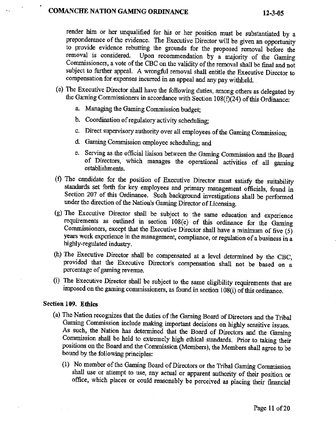render him **or her unqualified for his** or her **position** must be substantiated **by a preponderance of the evidence.** The **Executive Director will. be given an opportunity to provide evidence rebutting the grounds for** the **proposed removal before the removal** is **considered Upon recommendation by a majority of the** Gaming Commissioners, **a vote of the CBC** on **the validity of** the **removal shall be final and** not **subject to further appeal. A wrongful removal shall entitle the Executive Director to compensation** fix **expenses incurred in an appeal** and **any pap** withheld.

- **(e) The Executive Director** shall **have the following** duties, among others **as** delegated **by the Gaming Commissioners in accordance with Section 108(f)(24) of this Ordinance:** 
	- **a. Managing the** Gaming **Commission budget;**
	- b. **Coordination of regulatory activity scheduling;**
	- **c.** Direct **supervisory authority** over all **empIoyees of the Gaming Commission;**
	- **d. Gaming Commission employee scheduling;** and
	- e. **Serving as the official liaison between the** Gaming **Commission** and **the Board of Directors,** which **manages** the operational **activities of all gaming**  establishments.
- **(f)** The **candidate for the position of Executive Director must satisfy the suitability standards set** forth **for key employees and primary management officials, found in**  Section 207 of this Ordinance. Such background investigations shall be performed under **the direction of the Nation's Gaming Director of Licensing.**
- **(g) The Executive Director** shall **be** subject **to the same education and experience requirements as outlined in section 108(e) of this ordinance for the Gaming**  Commissioners, except that the Executive Director shall have a minimum of five  $(5)$ **years work experience in the** management, **compliance, or regulation of a business in a highl y-regulated industry.**
- (h) **The Executive Director shall be compensated at a level determined by the CBC, provided** that **the 'Executive Director's compensation** shall **not be based on a percentage of** gaming **revenue.**
- (i) **The Executive Director** shdI **be subject to the same eligibility requirements** that **are**  imposed on the gaming commissioners, as found in section 108(i) of this ordinance.

## **Section 109. Ethics**

- **(a)** The **Nation recognizes** that the **duties of** the **Gaming Board of Directors and the Tribal**  Gaming **Commission** include **making important decisions on** highly **sensitive issues.**  As such, the Nation has determined that the Board of Directors and the Gaming Commission shall be held to extremely high ethical standards. Prior to taking their **positions on** the **Board** and **the Commission (Members), the Members shall agree to be bound by** the **following principles:** 
	- (1) **No** member of **the Gaming** Board of **Directors or the Tribal Gaming Commission**  shall **use ox attempt to use, my actual or apparent** authority **of their** position **or office, which places or could reasonably be perceived as placing their financial**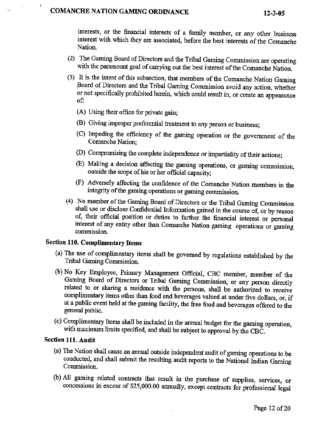# **COMANCHE NATION GAMING ORDINANCE** 12-3-05

**interests,** or **the** financial **interests of a family member, or any other** business **interest** with which **they are associated, before the best interests of the Comanche**  Nation.

- **(2) The Gaming Board** of Directors and the Tribal Gaming Commission **are-operating with the paramount goal of carrying out the** best interest **of** the **Comanche Nation.**
- **(3)** It **is the intent of this** subsection, that **members ofthe** Comanche **Nation Gaming Board of Directors** and **the Tribal Gaming Commission avoid any action, whethex or not specifically prohibited** herein, **which could result in, or create an appearance of:** 
	- **(A)** Using their **ofice** for **private gain;**
	- **(B)** Giving **improper preferential treatment to any person** or **business;**
	- **(C) Impeding the efficiency of** the **gaming operation or** the **government of** the Comanche **Nation;**
	- (ID) **Compromising** the **complete independence ox impartiality** of **their** actions;
	- **(E) Making a decision affecting the gaming operations, or** gaming **commission,**  outside **the scope of his or her official capacity;**
	- (F) **Adversely affecting** the **confidence of the Comanche Nation members in the integrity of the gaming operations ox gaming commission.**
- **(4) No member of the Gaming Board of Directors** or **the Tribal Gaming Commission shall use or disclose Confidential Information gained in the course of, or by reason**  of, their official position or duties to further the financial interest or personal **interest of any entity other** than **Comanche Nation gaming operations** or **gaming commission.**

# **Section 110. Complimentary Items**

- **(a)** The **use of complimentary items shall be governed by regulations established by the Tribal Gaming Commission.**
- (b) **No Key Employee, Primary Management Official, CBC member, member of the Gaming Board of** Directors **or Tribal** *Gaming* **Commission, or any person directly related to ox sharing** a **residence** with the **persons, shall be authorized to receive complimentary items other than food** and **beverages valued at under five** dollars, **or, if**  at **a public event held at the gaming** facility, **the free food and beverages** offered **to the general public.**
- **(c) Complimentary Items shall be included in the** annual **budget** for **the gaming operation,**  with **maximum limits specified, and shall be subject to approval by the CBC.**

## **Section 111. Audit**

- **(a)** The **Nation sMI cause an** annual **outside** independent **audit of gaming operations ta be conducted,** and shall **submit** the **resulting audit reports to the National Indian** Gaming **Commission.**
- **(b) All gaming related** contracts **that resuIt in the purchase of supplies, services, or concessions in** *excess* **of \$25,000.00 mually, except contracts** for **professional legd**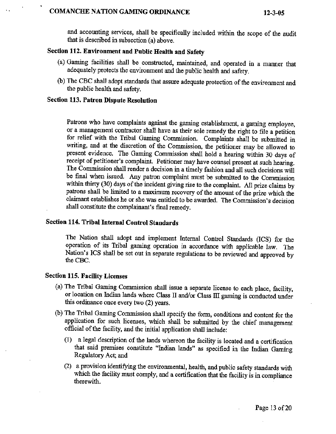# . **. COMANCHE NATION GAMING ORDINANCE 12-3-05**

and **accounting services, shall be specifically** included within **the scope** of **the audit that is** described **in subsection (a) above.** 

# **Section 11 2. Environment and Public Health and Safety**

- **(a)** Gaming **facilities shall be constructed, maintained, and operated in a manner** that adequately **protects** the **environment md the** public health **and safety.**
- (b) **The CBC shall adopt standards that assure adequate protection of the environment** and **the public** health **and safety.**

#### **Section 113. Patron Dispute Resolution**

**I** 

**Patrons who have complaints against the gaming establishment, a gaming employee, or a management contractor** shall **have** as **their sole remedy the right to file a petition**  for relief with the Tribal Gaming Commission. Complaints shall be submitted in **writing,** and **at** the **discretion of the Commission, the petitioner may be allowed to present evidence. The Gaming Commission** shall **hold a** hearing **within 30 days of receipt of petitioner's complaint. Petitioner may have counsel present at such hearing.**  The **Commission** shall **render a decision in a timely fashion and all such** decisions will **be** hd when **issued. Any patron complaint must be submitted to the Commission within** thirty **(30) days** of **the incident giving rise to the complaint. All prize cIaims by patrons** shall be **limited to a** maximum **recovery of the** amount **of the prize which the claimant establishes he or** she **was** entitled **to be awarded.** The **Commission's decision shall constitute the complainant's** final **remedy.** 

# **Section 114. Tribal IntemaI Control Standards**

The **Nation shall adopt** and **implement Internal Control Standards [ICS) for the operation of its Tribal gaming operation in accordance with applicable Iaw. The Nation's ICS shall be set** out **in separate regulations to be** reviewed **and approved by the CBC.** 

### **Section 115. Facility Licenses**

- **(a)** The **Tribal** Gaming **Commission shall issue a separate** Iicense **to each place, facility, or location on Indian lands where Class I1 andlor Class** IiI **gaming is conducted.under**  this **ordinance once every two (2) yeas.**
- (b) **The Tribal Gaming Commission shall specify the** form, **conditions and content for the application** for **such** licenses, **which shall be submitted by** the chief **mmagement official** of **the facility,** and **the initial application** shall **include:** 
	- (1) a **legal description of the lands whereon the facility is located and a certification that said premises constitute "Indian lands" as specified in the Indian Gaming Regulatory Act; and**
	- **(2) a provision identifying the environmental, health, and public safety** standards with **which the facility must comply,** and **a certification that the** facility **is in compliance therewith.**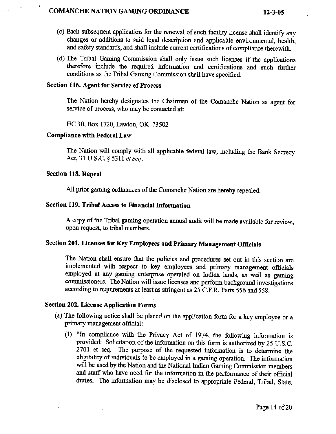#### **COMANCBE NATION** *GAMING* **ORDINANCE 12-3-05**

- **(c) Each subsequent application for the renewal of such** facility **license shall identify my changes or additions to** said **legal description and applicable environmental, health,**  and **safety** standards, **and** shall **include current certifications of compliance therewith.**
- (d) The Tribal Gaming Commission shall only issue such licenses if the applications **therefore include the required information and certifications and such further**  conditions as **the Tribal Gaming Commission shall have specified.**

## **Section 116. Agent for Service of Process**

**The Nation hereby designates the Chairman of the Comanche Nation** as **agent for service of process, who may be contacted at:** 

**HC 30, Box 1720,** Lawton, OK **73502** 

#### **Compliance with Federal Law**

**The Nation will comply with** all **applicable federal law, including the Bank Secrecy Act, 31 U.S.C. \$53 11 ef** *seq.* 

#### **Section 118. Repeal**

**1** 

MI **prior gaming ordinances of the Comanche Nation are hereby repealed.** 

## **Section 119. Tribal Access to Financial Information**

**A copy of** the **Tribal gaming operation** annual **audit will be made available for review, upon request, to** tribal **members.** 

# **Section 201. Licenses for Key Employees and Primary Management Officials**

**The Nation** shall **ensure that the policies and procedures set out ia. this** section **are**  implemented with respect to key employees and primary management officials **employed at** *any* **gaming enterprise operated on** Indian **lands, as well as** gaming **commissioners.** The **Nation will issue licenses** and **perform background investigations according to** requirements **at Ieast** as **stringent as 25** C.F.R. Parts **556 and 558.** 

### **Section 202. License Application Forms**

- **(a) The following notice shall** be **placed on the** application **form for a key employee or a primary management officid:** 
	- (1) **"In compliance** with **the Privacy Act of** 1974, the **following information is provided: Solicitation of the information on this** form **is authorized by <sup>25</sup>U.S.C. 2701 et seq.** The **purpose of the requested** information **is to determine the eligibility of individuals to be employed in a gaming operation. The** infomation will **be used by the** Nation **and the** National **Indian Gaming Commission members**  and staff who have need for the information in the performance of their official **duties. The infomation may be disclosed to appropriate Federal,** Tribal, **State,**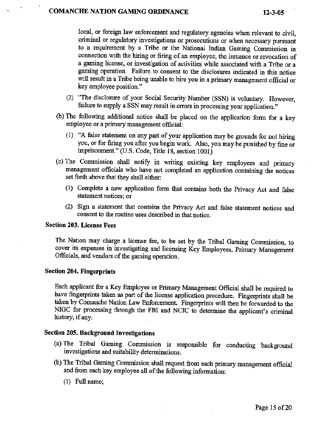**I** 

**local, or foreign law enforcement** and **regulatory agencies** when **relevant to civil, criminal or regulatory investigations or prosecutions** or **when necessary pursuant**  to a requirement by a Tribe or the National Indian Gaming Commission in **connection with the** hiring **or firing of an employee, the issuance ox** revocation **of a** gaming **license, or investigation of activities while associated with a** Tribe **or a gaming operation. Failure** to **consent to the disclosures indicated** in **this notice will result in** a **Tribe being unable to hire you in** a **primmy management official or key employee position."** 

- (2) "The disclosure of your Social Security Number (SSN) is voluntary. However, **failure to supply a SSN may result in errors in processing** your **application."**
- **(b)** The **following additional notice shall be placed on the application form for a key employee or a primary management official:** 
	- (1) **"A** false **statement on** any **part of yoax application may be** grounds **for not hiring you, or for** kbg **you** after **you begin work.** Also, **you my be punished by fine or**  imprisonment." **(U.S. Code, Title 18, section 3001)**
- **(c) The Cornmission shall notify in writing existing key employees and primary management officials who have not completed** an **application containing the notices set forth above** that **they** shall **either:** 
	- (I) **Complete a new application** form **that contains** both **the Privacy Act** and **false statement notices; or**
	- **(2) Sign a statement that contains** the **Privacy Act and false statement notices and consent to the routine uses described in that notice.**

#### **Section 203. License Pees**

**The Nation may charge a license fee, to be set by** the **TribaI Gaming Commission, to cover its expenses in investigating and licensing Key Employees,** Primary **Management**  OEciaIs, **atld vendors of the gaming operation.** 

## **Section 204. Fingerprints**

**Each** applicant **for a Key Employee or Primary Management Official sha.11 be required to have fingerprints** taken **as part of the license application procedure. Fingerprints shall be**  taken by Comanche Nation Law Enforcement. Fingerprints will then be forwarded to the NIGC for processing **through** the **FBI** and **NCIC to determine the applicant's criminal**  history, **if any.** 

# **Section 205. Background Investigations**

- **(a) The Tribal Gaming Commission** is **responsible for conducting background investigations** and **suitability** determinations.
- @) The **Tribal Gaming Cornmission** shall **request from each primary management official**  and from each **key employee** all **of the following information:** 
	- **(1)** Full **name;**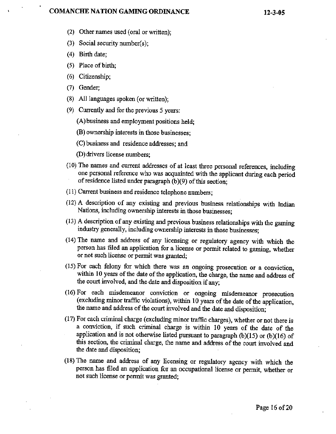#### **COMANCHF, NATION GAMING ORDINANCE**

- **(2)** Other **names used** (oral **or written);**
- **(3) Social security** number(s);
- **(4) Birth date;**
- **(5) Place of birth;**
- *(6)* **Citizenship;**
- (7) Gender;
- **(8) All** languages **spoken (or** written);
- **(9) Currently and for the previous** *5* **years:** 
	- **(A) business and employment positions held;**
	- **(B) ownership interests in those businesses;**
	- **(C) business** and residence **addresses; and**
	- **@)drivers license** numbers;
- **(10)** The **names and** current **addresses of at least** three **personal references, including one personal reference who was acquainted** with **the applicant during each period of residence listed** under **paragraph (b)(9) of this section;**
- (I **I) Current business** and **residence telephone** numbers;
- (12) **A description of any existing and previous business relationships with Indian Nations, including ownership interests in those businesses;**
- **(13) A description of any existing and previous business relationships with the gaming industry generally, including ownership interests in those businesses;**
- **(14) The** name **and address of any licensing** *or* **regulatory agency with which the person has filed an application for a license or permit refated to gaming, whether**  or not such license or permit was granted;
- (15) **For** each **felony** for **which there was an ongoing prosecution or a conviction,**  within **10 years of the date of the application, the charge, the name and address of the court involved, and the date** and **disposition if any;**
- **(1** *6)* **For each misdemeanor conviction or ongoing misdemeanor prosecution (excluding minor traffic violations), within 10 years of** the **date of the application, the name and address of the court involved and the date and disposition;**
- **(17) For each** criminal. **charge (excluding minor traffic charges), whether or** not **there is a conviction, if such criminal charge is within I0 years of the date of the application and is not otherwise listed pursuant to paragraph (b)(lS) or (b)(16) of this** section, **the criminal charge, the name and address of the court involved and the date** and **disposition;**
- **(18)** The name **and address of any licensing or regulatory agency with which the person has filed an application for an occupational license ox permit, whether or not** such **license or permit was granted;**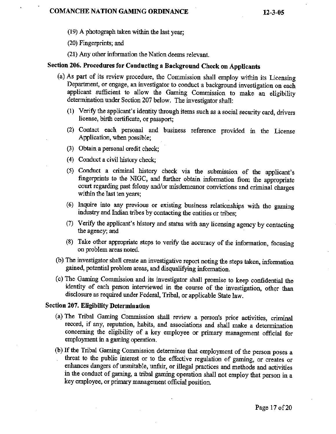**(1 9) A photograph** taken **within** the last year;

(20) Fingerprints; and

(21) **Any** other information **the Nation** deems **relevant.** 

## **Section 206. Procedures for Conducting a Background Check on Applicants**

- **(a)** As part of its review procedure, the Commission shall **employ** within **its** Licensing Department, or **engage,** an investigator to **conduct** a **background investigation** on each applicant sufficient to allow the **Gaming Commission** to make an eligibiIity determination under Section 207 below. The investigator shall:
	- (I) **Verify** the **applicant's identity through items such as asocial** security **card, drivers license,** birth **certificate, or passport;**
	- (2) **Contact** each personal and business reference provided in the **License Application, when possible;**
	- **(3) Obtain** a **personal** credit check
	- **(4) Conduct a civil** history **check;**
	- *(5)* **Conduct** a **criminal** history check via the submission **of** the applicant's fingerprints to the NIGC, and further obtain information from the appropriate court regarding **past felony and/or misdemeanor convictions arid criminal charges**  within the **last ten years;**
	- *(6)* **Inquire into any previous or existing business relationships with the gaming industry** and Indian tribes by contacting the **entities or** tribes;
	- **(7) Verify the** applicant's **history** and stam **with** any **licensing agency by contacting the** agency; **and**
	- **(8) Take** other **appropriate steps to verify the accuracy of** the **information, focusing**  on problem areas noted.
- (b) **The investigator shall create an investigative report** noting **the** steps **taken,** information **gained,** potential **problem** areas, and **disqualifjing** information.
- *(c)* The Gaming Commission and its investigator **shall promise to keep** confidential **the**  identity of each **person interviewed in the course of the investigation, other** *than*  **disclosure** as **required under** Federal, Tribal, or appIicable **State;** law.

### **Section 207. Eligibility Determination**

- **(a)** The Tribal Gaming Commission shall review a **person's prior activities,** mimind **record,** if **myy** reputation, habits, and associations **and shall make a determination concerning** the eligibility **of a key employee** or **primary management** official **for employment in a gaming operation.**
- (b) **If the Tribal Gaming Commission determines that employment of** the **person poses** a , threat to the public interest or to the effective regulation of **gaming,** or creates or **enhances dangers of** unsuitable, unfair, **or illegal practices and methods** and **activities in** the **conduct of gaming, a** tribal **gaming operation shall** not employ that person in a **key employee, or primasy management official** position.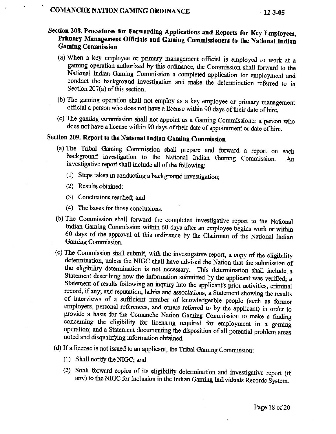# **Section 208. Procedures for Forwarding Applications and Reports for Key Employees, Primary Management Officials and Gaming Commissioners to the National Indian Gaming Commission**

- (a) **When a key employee** or primary management official is employed to **work** at a **gaming** operation **authorized** by this **ordinance,** the **Commission shall** fomd **to the National Indian Gaming** Commission **a completed** application for employment **and**  conduct the background investigation and make the determination referred to in Section **207(a)** of **this section.**
- **(b)** The gaming **operation shall not empIoy as a key employee** or **primary** management official apexson who does not **have** a **license within 90 days of** their **date of hire.**
- **(c)** The gdng **commission shall not appoint as a Gaming Commissioner a person who does** not **have a license** within **90'da)s** of their date of appointment **or date** of hire.

# **Section 209. Report to the National Indian Gaming Commission**

- (a) **The Tribal** Gaming **Commission shall prepare and forward** a report on **each**  background investigation to the National Indian **Gaming** Commission. **An**  investigative report shall include all of **the following:** 
	- **(1) Steps taken in conducting a background investigation;**
	- **'(2)** Results **obtained;**
	- (3) **Conclusions** reached; **and**
	- **(4) The bases for those conclusions.**
- (b) The **Commission shall forward** the **completed investigative report to the National Indian Gaming Commission within 60 days** after **an employee begins work or within 60** days **of** the approval of this ordinance by the Chairman **of the National Indian** . **Gaming** Commission.
- *(c)* The **Commission shall submit, with** the **investigative report, a copy of the eligibility determination, unless** the **NIGC** shdl **have advised the Nation that the submission of**  the eligibility detemhation is **not** necessary. This determination **shall** include, a **Statement describing how fie** information **submitted** by the **applicant** was verified;, a Statement of results following an inquiry into the applicant's prior activities, criminal **record,** if any, and **reputation,** habits and associations; a Statement **showing the results of interviews of a** sufficient **number of howledgeable people (such** as **former employers, personal references,** and others referred to by the **applicant)** in **order to provide** a basis for the Comanche Nation Gaming Commission **to make a finding**  concerning the **eligibility for licensing required for** employment **in a** gaming **operation; and** a **Statement** documenting **the** disposition of all potential problem **areas**  noted and disqualifying information obtained.
- **(d) If a license** is not **issued** to **an** applicant, the Tribal **Gaming** Commission:
	- (1) **Shall** notify *the* **NIGC; and**
	- (2) Shall forward copies of its eligibility determination and investigative report (if **my) to** the NIGC **for inclusion** in **the Indian Gaming** hdividuds **Records System**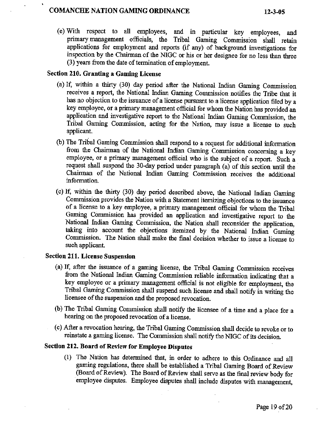# . **COMANCHF, NATION GAMING ORDINANCE**

**(e) With respect to all employees,** and **in** particular **key employees,** and **primary management** officials, **the Tribal Gaming Commission shall retain applications for employment and reports (if** any) of **backgound** investigations for **inspection by the** Chairman **of the NIGC or his or** her **designee for no Iess than three (3) years &om the date** of termhation **of employment.** 

## **Section 210. Granting a Gaming License**

- (a) **If, within a** thirty **(30) day period after the National Indian Gaming Commission receives a report, the National Indian Gaming Commission notifies the Tribe that it has no** objection **to the issuance of a license pursuant to a license application filed by a key employee, or a primary management official for whom the Nation has provided an application** and **investigative report to the National** Indian **Gaming Commission, the Tribal Gaming Commission,** acting **for the Nation, may issue a license to such applicant.**
- (b) The Tribal Gaming Commission shall respond to a request for additional information from the Chairman of the National Indian Gaming Commission concerning a key **employee, or a primary management official who is the subject of a report. Such a**  request shall suspend the 30-day period under paragraph (a) of this section until the **Chairman** of the **National Indian Gaming Commission receives the additional**  information.
- *-(c)* **If,** within **the** thirty **(30)** day pried **described** above, **the National Indian Gaming**  Commission **provides the Nation with a Statement itemizing objections to the issumce of a license to a key employee, a primary management official for whom the Tribal Gaming Commission** has **provided an application and investigative report to** the National Indian **Gaming Commission, the Nation shall reconsider the application, taking** into **account the objections itemized by the** National **Indian. Gaming Commission.** The **Nation** shall make **the** final **decision whether to issue a** license **to**  such **applicant.**

# **Section 211. License Suspension**

- **(a) If, after the issuance of a gaming license, the Tribal Gaming** Commission **receives from the** National Indian **Gaming Commission reliable** information **indicating** that **a key employee** or **a primary managemmt** officid is **not eligible for employment, the**   $T$ ribal Gaming Commission shall suspend such license and shall notify in writing the **licensee of the suspension and the proposed revocation.**
- (b) The Tribal Gaming Commission shall notify the licensee of a time and a place for a **hearing on the proposed revocation of a** license.
- *(c)* **ARer a revocation hearing, the Tribal Gaming Commission shall decide to revoke or to reinstate a gaming license. The Commission shall** notify the NIGC of its **decision.**

# **Section 212. Board of Review for Employee Disputes**

(1) **The** Nation **has** determined **that, in order to adhere to this Ordinance and** all **gaming regulations, there shall be established a Tribal** Gaming **Board** of **Review (Board of Review). The Board of Review shall serve as the** final **review body for 'employee disputes. Employee disputes shall include disputes with management,**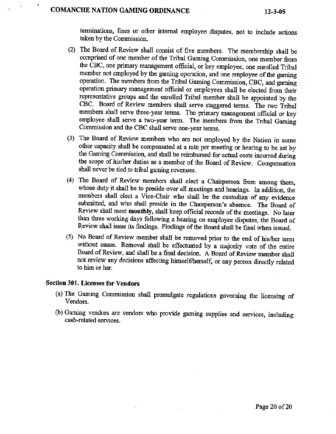# **COMANCHF, NATION GAMING ORDINANCE 12-3-05**

**1** 

**terminations, fines or other** internal **employee** disputes, not **to include actions taken by the** Commission.

- (2) **The Board of Review shall consist of five** members. Thd **membership** shall be **comprised of one** member **of** the **Tribal Gaming** Commission, **one member fiom the CBC, one primary** management **official, or key employee, one enrolled Tribal member not employed by the** gaming **operation, and one employee of the** gaming **operation. The members from** the Tribal Gaming Commission, **CBC,** and **gaming**  operation primary management official or employees shall be elected from their representative groups **and the enrolled Tribal member** shall be **appointed** by the **CBC,** Board of **Review members shall serve staggered terms. The** two **Tribal members shall serve, three-year** terns. **The primary management official or key employee shall serve a two-year term. The** members **from the Tribal Gaming Commission and the CBC shall serve one-year terms.**
- **(3) 'The Board of Review members 'who are not employed by the Nation in some other capacity shall be compensated at a rate per meeting or hearing to be set by the Gaming Commission, and shall be reimbursed for** actual **costs incurred during the scope of hisher duties as a member** of the Board **of Review. Compensation**  shall **never be tied** to **tribal gaming revenues.**
- (4) The Board of Review members shall elect a Chairperson from among them, **whose duty it** shall **be to preside over all meetings and hearings. In addition, the members shall elect a Vice-Chair who** shall **be the custoclian of any evidence**  submitted, and who shall preside in the Chairperson's absence. The Board of Review shall meet monthly, shall keep official records of the meetings. No later **than three working** days **following a hearing on employee disputes, the Board of Review shall issue its** findings. **Findings of the Board shall be final when issued.**
- **(5) No** Board **of Review member shall** be **removed prior to the** end **of hisher term without. cause. Removal shall be. effectuated by a majority vote of the entire Board of Review, and shall be a final decision A Board of Review member shall not review my decisions affecting himselfherself, or my person dire;ctIy related**  *to* **him or** her.

# **Section 301. Licenses for Vendors**

- (a) The Gaming Commission shall promulgate regulations governing the licensing of **Vendors.**
- (b) **Gaming vendors are vendors who provide gaming suppIies and services, including cash-related services.**